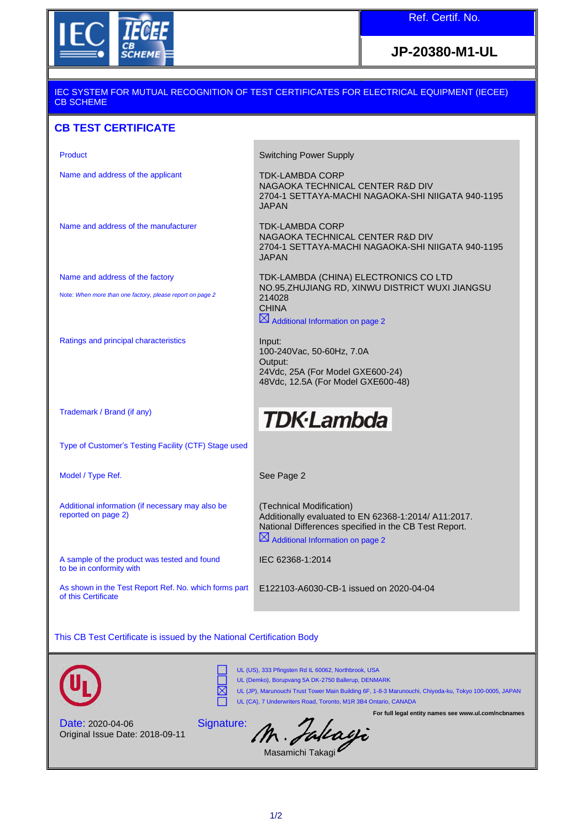

## **JP-20380-M1-UL**

#### IEC SYSTEM FOR MUTUAL RECOGNITION OF TEST CERTIFICATES FOR ELECTRICAL EQUIPMENT (IECEE) CB SCHEME

### **CB TEST CERTIFICATE**

| Product                                                                      | <b>Switching Power Supply</b>                                                                                                                                                             |
|------------------------------------------------------------------------------|-------------------------------------------------------------------------------------------------------------------------------------------------------------------------------------------|
| Name and address of the applicant                                            | <b>TDK-LAMBDA CORP</b><br>NAGAOKA TECHNICAL CENTER R&D DIV<br>2704-1 SETTAYA-MACHI NAGAOKA-SHI NIIGATA 940-1195<br><b>JAPAN</b>                                                           |
| Name and address of the manufacturer                                         | <b>TDK-LAMBDA CORP</b><br>NAGAOKA TECHNICAL CENTER R&D DIV<br>2704-1 SETTAYA-MACHI NAGAOKA-SHI NIIGATA 940-1195<br><b>JAPAN</b>                                                           |
| Name and address of the factory                                              | TDK-LAMBDA (CHINA) ELECTRONICS CO LTD                                                                                                                                                     |
| Note: When more than one factory, please report on page 2                    | NO.95, ZHUJIANG RD, XINWU DISTRICT WUXI JIANGSU<br>214028<br><b>CHINA</b><br>$\boxtimes$ Additional Information on page 2                                                                 |
| Ratings and principal characteristics                                        | Input:<br>100-240Vac, 50-60Hz, 7.0A<br>Output:<br>24Vdc, 25A (For Model GXE600-24)<br>48Vdc, 12.5A (For Model GXE600-48)                                                                  |
| Trademark / Brand (if any)                                                   | <b>TDK</b> ·Lambda                                                                                                                                                                        |
| Type of Customer's Testing Facility (CTF) Stage used                         |                                                                                                                                                                                           |
| Model / Type Ref.                                                            | See Page 2                                                                                                                                                                                |
| Additional information (if necessary may also be<br>reported on page 2)      | (Technical Modification)<br>Additionally evaluated to EN 62368-1:2014/ A11:2017.<br>National Differences specified in the CB Test Report.<br>$\boxtimes$ Additional Information on page 2 |
| A sample of the product was tested and found<br>to be in conformity with     | IEC 62368-1:2014                                                                                                                                                                          |
| As shown in the Test Report Ref. No. which forms part<br>of this Certificate | E122103-A6030-CB-1 issued on 2020-04-04                                                                                                                                                   |
|                                                                              |                                                                                                                                                                                           |

This CB Test Certificate is issued by the National Certification Body